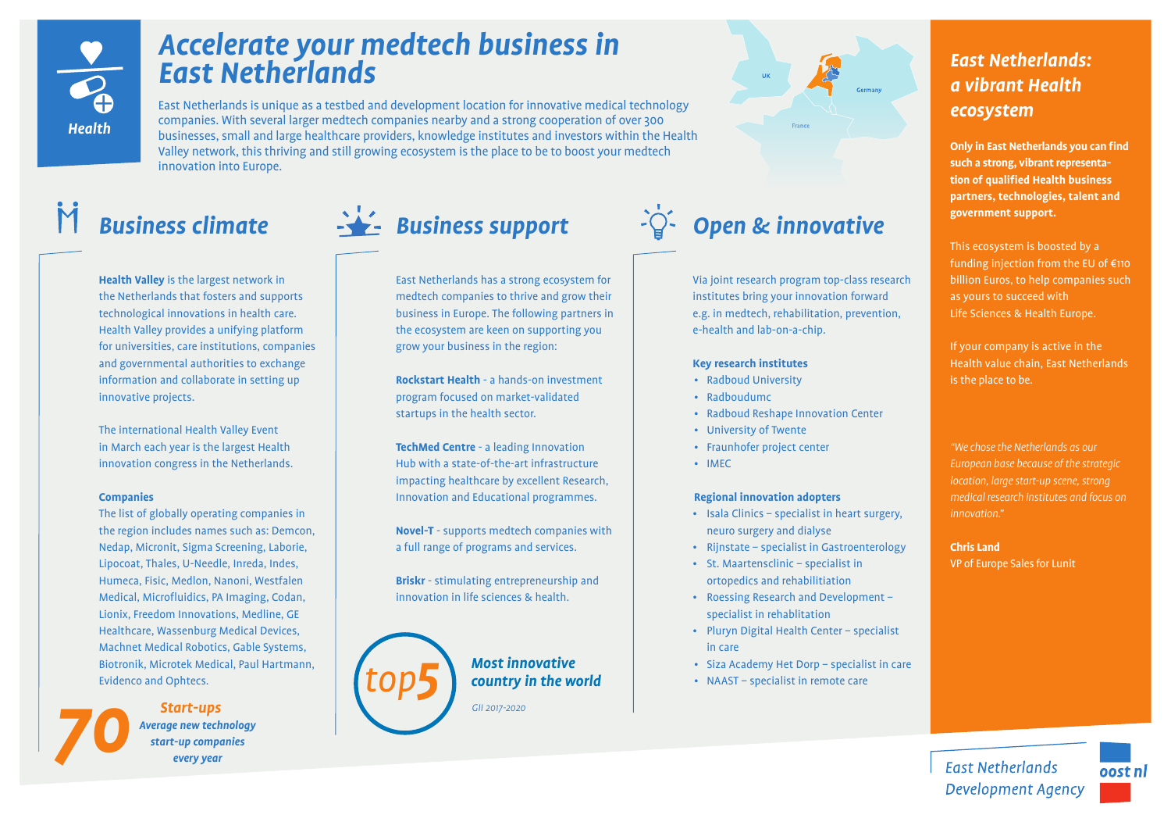

# *Accelerate your medtech business in East Netherlands*

East Netherlands is unique as a testbed and development location for innovative medical technology companies. With several larger medtech companies nearby and a strong cooperation of over 300 businesses, small and large healthcare providers, knowledge institutes and investors within the Health Valley network, this thriving and still growing ecosystem is the place to be to boost your medtech innovation into Europe.

**Health Valley** is the largest network in the Netherlands that fosters and supports technological innovations in health care. Health Valley provides a unifying platform for universities, care institutions, companies and governmental authorities to exchange information and collaborate in setting up innovative projects.

The international Health Valley Event in March each year is the largest Health innovation congress in the Netherlands.

## **Companies**

The list of globally operating companies in the region includes names such as: Demcon, Nedap, Micronit, Sigma Screening, Laborie, Lipocoat, Thales, U-Needle, Inreda, Indes, Humeca, Fisic, Medlon, Nanoni, Westfalen Medical, Microfluidics, PA Imaging, Codan, Lionix, Freedom Innovations, Medline, GE Healthcare, Wassenburg Medical Devices, Machnet Medical Robotics, Gable Systems, Biotronik, Microtek Medical, Paul Hartmann, Evidenco and Ophtecs.

*Start-ups*<br>Average new technology<br>start-up companies<br>every year *start-up companies every year Start-ups*



East Netherlands has a strong ecosystem for medtech companies to thrive and grow their business in Europe. The following partners in the ecosystem are keen on supporting you grow your business in the region:

**Rockstart Health** - a hands-on investment program focused on market-validated startups in the health sector.

**TechMed Centre** - a leading Innovation Hub with a state-of-the-art infrastructure impacting healthcare by excellent Research, Innovation and Educational programmes.

**Novel-T** - supports medtech companies with a full range of programs and services.

**Briskr** - stimulating entrepreneurship and innovation in life sciences & health.



*J<sub>all</sub> country in the world Most innovative*

*GII 2017-2020*



Via joint research program top-class research institutes bring your innovation forward e.g. in medtech, rehabilitation, prevention, e-health and lab-on-a-chip.

### **Key research institutes**

- Radboud University
- Radboudumc
- Radboud Reshape Innovation Center
- University of Twente
- Fraunhofer project center
- IMEC

### **Regional innovation adopters**

- Isala Clinics specialist in heart surgery, neuro surgery and dialyse
- Rijnstate specialist in Gastroenterology
- St. Maartensclinic specialist in ortopedics and rehabilitiation
- Roessing Research and Development specialist in rehablitation
- Pluryn Digital Health Center specialist in care
- Siza Academy Het Dorp specialist in care
- NAAST specialist in remote care

## *East Netherlands: a vibrant Health ecosystem*

**Only in East Netherlands you can find such a strong, vibrant representation of qualified Health business partners, technologies, talent and government support.**

This ecosystem is boosted by a funding injection from the EU of €110 billion Euros, to help companies such as yours to succeed with Life Sciences & Health Europe.

If your company is active in the Health value chain, East Netherlands is the place to be.

*"We chose the Netherlands as our European base because of the strategic location, large start-up scene, strong medical research institutes and focus on innovation."*

**Chris Land** VP of Europe Sales for Lunit

**East Netherlands Development Agency**